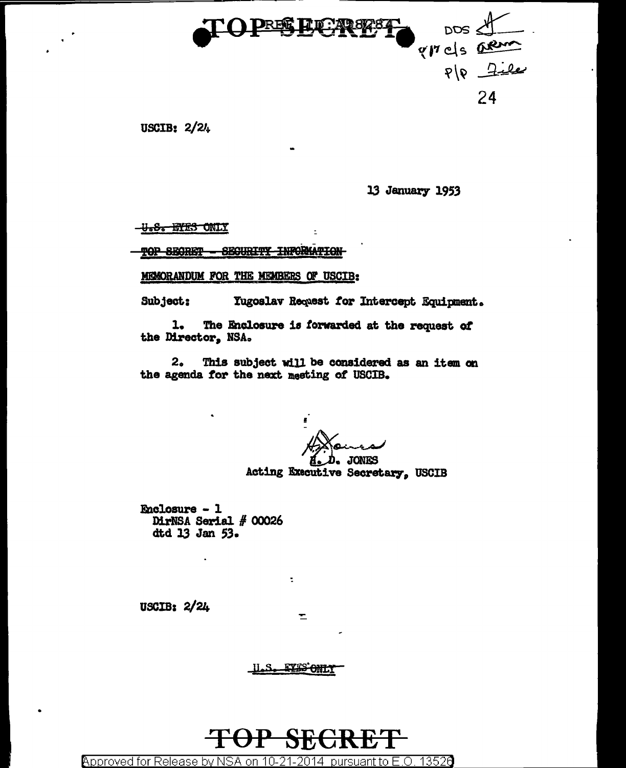

USCIB:  $2/2l<sub>+</sub>$ 

13 January 1953

<del>-U.S. DYES ONLY</del>

SEGURITY INFORMATION TOP SECRET

MEMORANDUM FOR THE MEMBERS OF USCIB:

Subject: **Tugoslav Request for Intercept Equipment.** 

 $\overline{\phantom{a}}$ 

The Enclosure is forwarded at the request of 1. the Director, NSA.

 $2<sub>o</sub>$ This subject will be considered as an item on the agenda for the next meeting of USCIB.

**JONES** 

Acting Executive Secretary, USCIB

**Enclosure - 1** DirNSA Serial # 00026 dtd 13 Jan 53.

USCIB: 2/24

**EYES ONLY** ىكىلا

÷

 $\mathbf{r}$ 

**Approved for Release** 13526 bv NSA 1ቤ nn pursuanti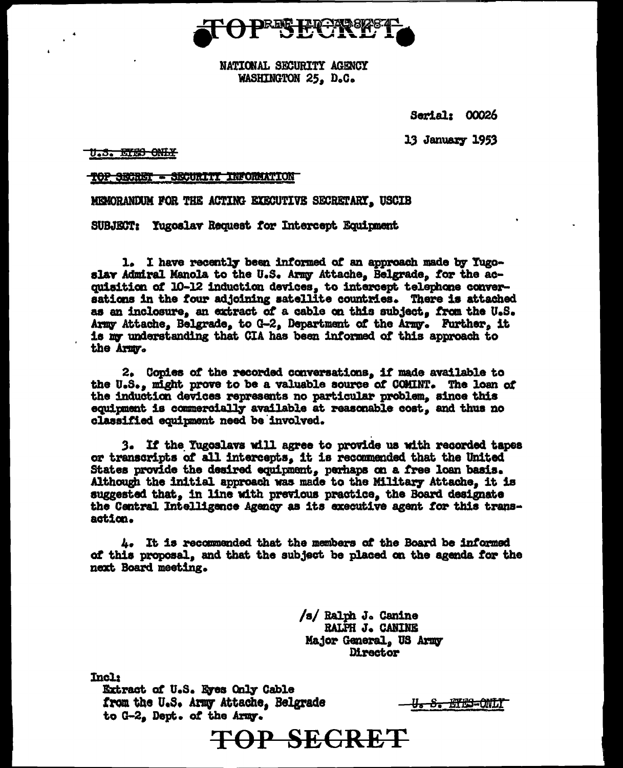

NATIONAL SECURITY AGENCY WASHINGTON 25. D.C.

Serial: 00026

**13 January 1953** 

U.S. ETES ONLY

- SECURITY INFORMATION <del>TOP SECRET</del>

MEMORANDUM FOR THE ACTING EXECUTIVE SECRETARY, USCIB

SUBJECT: Yugoslav Request for Intercept Equipment

1. I have recently been informed of an approach made by Yugoslav Admiral Manola to the U.S. Army Attache, Belgrade, for the acquisition of 10-12 induction devices, to intercept telephone conversations in the four adjoining satellite countries. There is attached as an inclosure, an extract of a cable on this subject, from the U.S. Army Attache, Belgrade, to G-2, Department of the Army. Further, it is my understanding that CIA has been informed of this approach to the Army.

2. Copies of the recorded conversations, if made available to the U.S., might prove to be a valuable source of COMINT. The loan of the induction devices represents no particular problem, since this equipment is commercially available at reasonable cost, and thus no classified equipment need be involved.

3. If the Tugoslavs will agree to provide us with recorded tapes or transcripts of all intercepts, it is recommended that the United States provide the desired equipment, perhaps on a free loan basis. Although the initial approach was made to the Military Attache. it is suggested that, in line with previous practice, the Board designate the Central Intelligence Agency as its executive agent for this transaction.

*i.* It is recommended that the members of the Board be informed of this proposal, and that the subject be placed on the agenda for the next Board meeting.

> /s/ Ralph J. Canine **RALPH J. CANINE** Major General. US Army Director

**Incl:** 

Extract of U.S. Eyes Only Cable from the U.S. Army Attache, Belgrade to G-2, Dept. of the Army.

<del>U. S. EYES-ONLY</del>

**TOP SECRET**